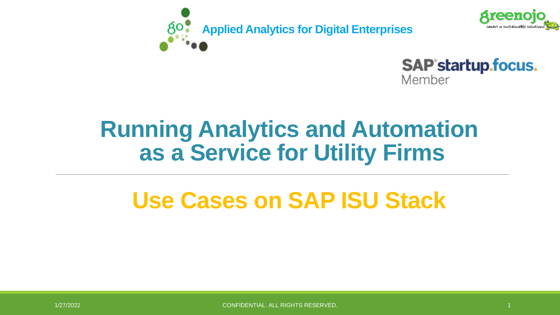





# **Running Analytics and Automation as a Service for Utility Firms**

# **Use Cases on SAP ISU Stack**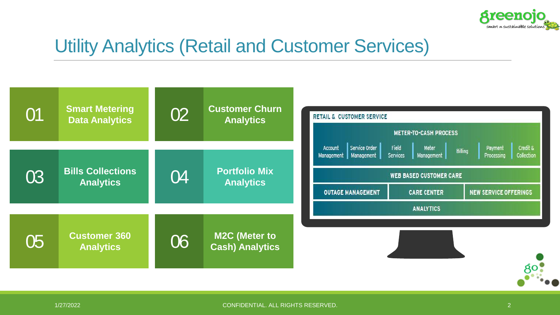

### Utility Analytics (Retail and Customer Services)

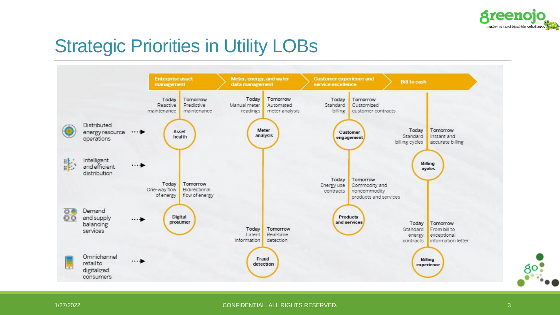

# Strategic Priorities in Utility LOBs



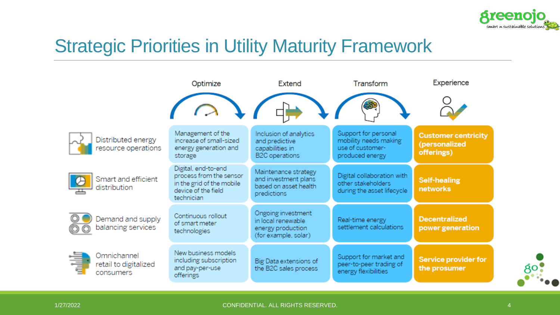

# Strategic Priorities in Utility Maturity Framework

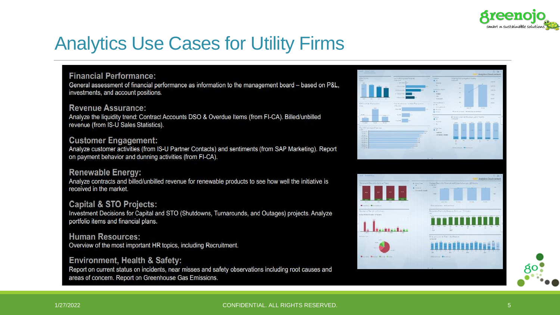

### Analytics Use Cases for Utility Firms

#### **Financial Performance:**

General assessment of financial performance as information to the management board - based on P&L, investments, and account positions.

#### **Revenue Assurance:**

Analyze the liquidity trend: Contract Accounts DSO & Overdue Items (from FI-CA). Billed/unbilled revenue (from IS-U Sales Statistics).

#### **Customer Engagement:**

Analyze customer activities (from IS-U Partner Contacts) and sentiments (from SAP Marketing). Report on payment behavior and dunning activities (from FI-CA).

#### **Renewable Energy:**

Analyze contracts and billed/unbilled revenue for renewable products to see how well the initiative is received in the market.

#### **Capital & STO Projects:**

Investment Decisions for Capital and STO (Shutdowns, Turnarounds, and Outages) projects. Analyze portfolio items and financial plans.

**Human Resources:** Overview of the most important HR topics, including Recruitment.

#### Environment, Health & Safety:

Report on current status on incidents, near misses and safety observations including root causes and areas of concern. Report on Greenhouse Gas Emissions.



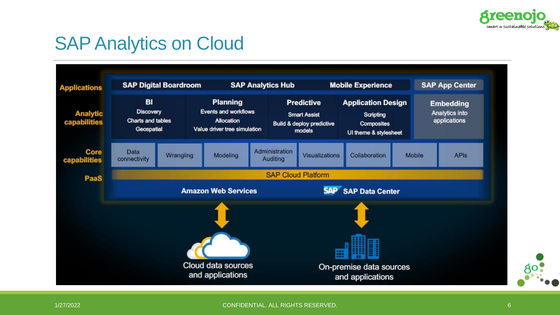

### SAP Analytics on Cloud

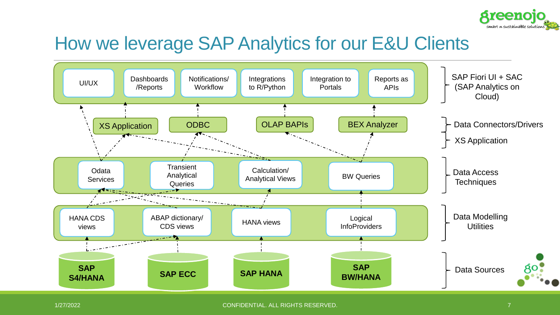

### How we leverage SAP Analytics for our E&U Clients

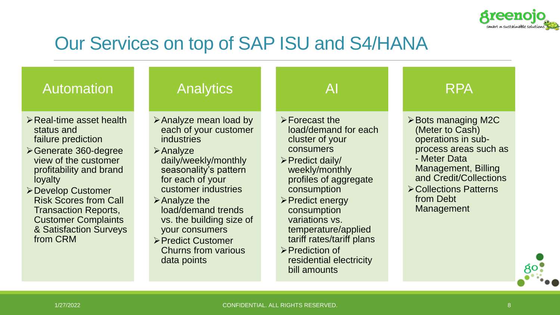

# Our Services on top of SAP ISU and S4/HANA

| <b>Automation</b>                                                                                                                                                                                                                                                                                                         | <b>Analytics</b>                                                                                                                                                                                                                                                                                                                                                            | Al                                                                                                                                                                                                                                                                                                                                                       | <b>RPA</b>                                                                                                                                                                                                                              |
|---------------------------------------------------------------------------------------------------------------------------------------------------------------------------------------------------------------------------------------------------------------------------------------------------------------------------|-----------------------------------------------------------------------------------------------------------------------------------------------------------------------------------------------------------------------------------------------------------------------------------------------------------------------------------------------------------------------------|----------------------------------------------------------------------------------------------------------------------------------------------------------------------------------------------------------------------------------------------------------------------------------------------------------------------------------------------------------|-----------------------------------------------------------------------------------------------------------------------------------------------------------------------------------------------------------------------------------------|
| $\triangleright$ Real-time asset health<br>status and<br>failure prediction<br>≻Generate 360-degree<br>view of the customer<br>profitability and brand<br>loyalty<br>≻Develop Customer<br><b>Risk Scores from Call</b><br><b>Transaction Reports,</b><br><b>Customer Complaints</b><br>& Satisfaction Surveys<br>from CRM | $\triangleright$ Analyze mean load by<br>each of your customer<br><b>industries</b><br>$\triangleright$ Analyze<br>daily/weekly/monthly<br>seasonality's pattern<br>for each of your<br>customer industries<br>$\triangleright$ Analyze the<br>load/demand trends<br>vs. the building size of<br>your consumers<br>▶ Predict Customer<br>Churns from various<br>data points | $\triangleright$ Forecast the<br>load/demand for each<br>cluster of your<br>consumers<br>> Predict daily/<br>weekly/monthly<br>profiles of aggregate<br>consumption<br>≻Predict energy<br>consumption<br>variations vs.<br>temperature/applied<br>tariff rates/tariff plans<br>$\triangleright$ Prediction of<br>residential electricity<br>bill amounts | $\triangleright$ Bots managing M2C<br>(Meter to Cash)<br>operations in sub-<br>process areas such as<br>- Meter Data<br><b>Management, Billing</b><br>and Credit/Collections<br><b>≻Collections Patterns</b><br>from Debt<br>Management |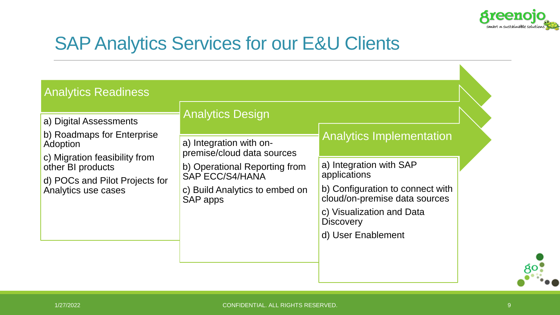

# SAP Analytics Services for our E&U Clients

| <b>Analytics Readiness</b>                                                           |                                                       |                                                                   |  |
|--------------------------------------------------------------------------------------|-------------------------------------------------------|-------------------------------------------------------------------|--|
| a) Digital Assessments<br>b) Roadmaps for Enterprise                                 | <b>Analytics Design</b>                               |                                                                   |  |
| Adoption                                                                             | a) Integration with on-<br>premise/cloud data sources | <b>Analytics Implementation</b>                                   |  |
| c) Migration feasibility from<br>other BI products<br>d) POCs and Pilot Projects for | b) Operational Reporting from<br>SAP ECC/S4/HANA      | a) Integration with SAP<br>applications                           |  |
| Analytics use cases                                                                  | c) Build Analytics to embed on<br>SAP apps            | b) Configuration to connect with<br>cloud/on-premise data sources |  |
|                                                                                      |                                                       | c) Visualization and Data<br><b>Discovery</b>                     |  |
|                                                                                      |                                                       | d) User Enablement                                                |  |
|                                                                                      |                                                       |                                                                   |  |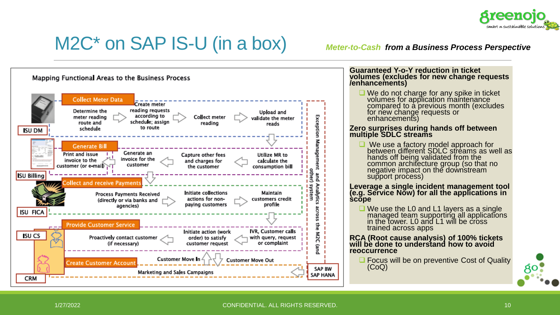

## M2C\* on SAP IS-U (in a box) *Meter-to-Cash from a Business Process Perspective*

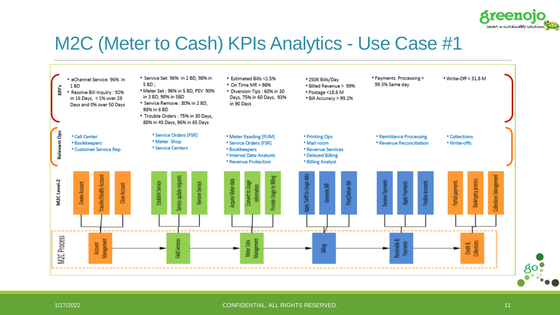

### M2C (Meter to Cash) KPIs Analytics - Use Case #1

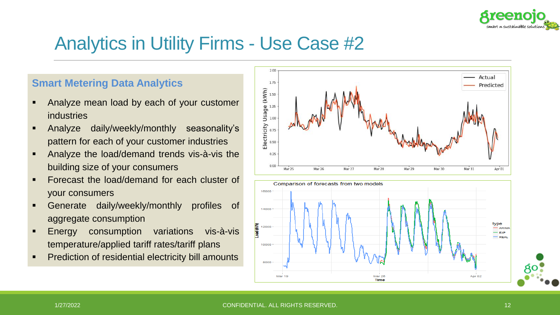

### **Smart Metering Data Analytics**

- Analyze mean load by each of your customer industries
- Analyze daily/weekly/monthly seasonality's pattern for each of your customer industries
- Analyze the load/demand trends vis-à-vis the building size of your consumers
- Forecast the load/demand for each cluster of your consumers
- Generate daily/weekly/monthly profiles of aggregate consumption
- **Energy consumption variations vis-à-vis** temperature/applied tariff rates/tariff plans
- **•** Prediction of residential electricity bill amounts





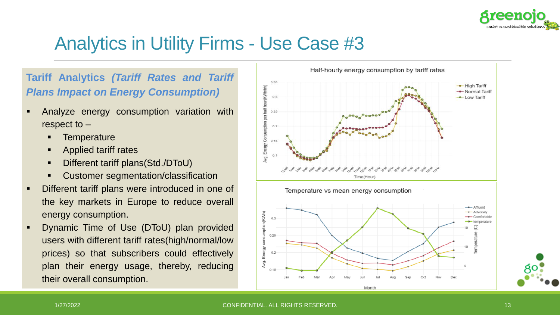

### **Tariff Analytics** *(Tariff Rates and Tariff Plans Impact on Energy Consumption)*

- **EXEC** Analyze energy consumption variation with respect to –
	- **Temperature**
	- Applied tariff rates
	- Different tariff plans(Std./DToU)
	- Customer segmentation/classification
- Different tariff plans were introduced in one of the key markets in Europe to reduce overall energy consumption.
- **Dynamic Time of Use (DToU) plan provided** users with different tariff rates(high/normal/low prices) so that subscribers could effectively plan their energy usage, thereby, reducing their overall consumption.

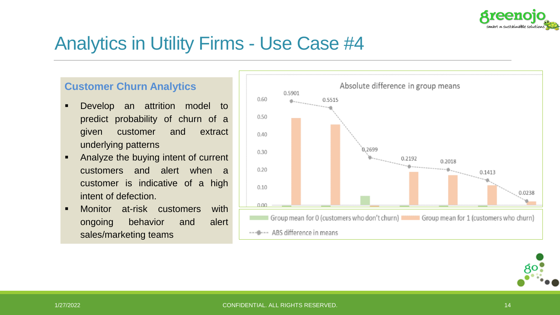

### **Customer Churn Analytics**

- Develop an attrition model to predict probability of churn of a given customer and extract underlying patterns
- Analyze the buying intent of current customers and alert when a customer is indicative of a high intent of defection.
- **■** Monitor at-risk customers with ongoing behavior and alert sales/marketing teams



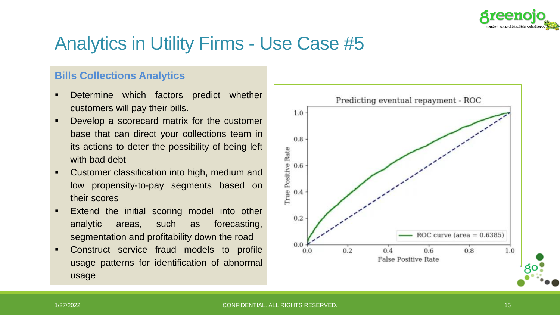

### **Bills Collections Analytics**

- Determine which factors predict whether customers will pay their bills.
- Develop a scorecard matrix for the customer base that can direct your collections team in its actions to deter the possibility of being left with bad debt
- Customer classification into high, medium and low propensity-to-pay segments based on their scores
- Extend the initial scoring model into other analytic areas, such as forecasting, segmentation and profitability down the road
- Construct service fraud models to profile usage patterns for identification of abnormal usage

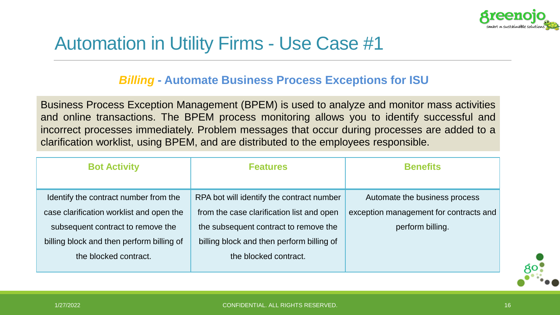

## Automation in Utility Firms - Use Case #1

### *Billing* **- Automate Business Process Exceptions for ISU**

Business Process Exception Management (BPEM) is used to analyze and monitor mass activities and online transactions. The BPEM process monitoring allows you to identify successful and incorrect processes immediately. Problem messages that occur during processes are added to a clarification worklist, using BPEM, and are distributed to the employees responsible.

| <b>Bot Activity</b>                       | <b>Features</b>                           | <b>Benefits</b>                        |  |
|-------------------------------------------|-------------------------------------------|----------------------------------------|--|
|                                           |                                           |                                        |  |
| Identify the contract number from the     | RPA bot will identify the contract number | Automate the business process          |  |
| case clarification worklist and open the  | from the case clarification list and open | exception management for contracts and |  |
| subsequent contract to remove the         | the subsequent contract to remove the     | perform billing.                       |  |
| billing block and then perform billing of | billing block and then perform billing of |                                        |  |
| the blocked contract.                     | the blocked contract.                     |                                        |  |
|                                           |                                           |                                        |  |

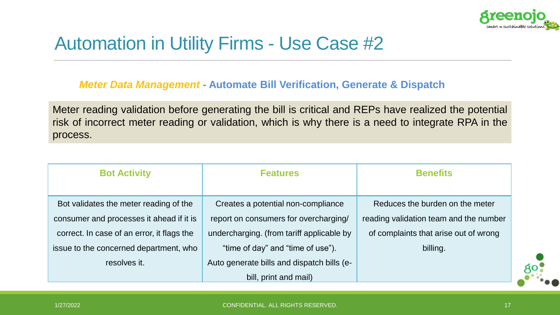

# Automation in Utility Firms - Use Case #2

### *Meter Data Management* **- Automate Bill Verification, Generate & Dispatch**

Meter reading validation before generating the bill is critical and REPs have realized the potential risk of incorrect meter reading or validation, which is why there is a need to integrate RPA in the process.

| <b>Bot Activity</b>                        | <b>Features</b>                            | <b>Benefits</b>                        |
|--------------------------------------------|--------------------------------------------|----------------------------------------|
|                                            |                                            |                                        |
| Bot validates the meter reading of the     | Creates a potential non-compliance         | Reduces the burden on the meter        |
| consumer and processes it ahead if it is   | report on consumers for overcharging/      | reading validation team and the number |
| correct. In case of an error, it flags the | undercharging. (from tariff applicable by  | of complaints that arise out of wrong  |
| issue to the concerned department, who     | "time of day" and "time of use").          | billing.                               |
| resolves it.                               | Auto generate bills and dispatch bills (e- |                                        |
|                                            | bill, print and mail)                      |                                        |

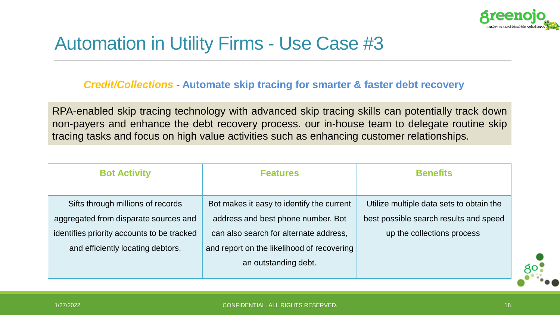

## Automation in Utility Firms - Use Case #3

### *Credit/Collections* **- Automate skip tracing for smarter & faster debt recovery**

RPA-enabled skip tracing technology with advanced skip tracing skills can potentially track down non-payers and enhance the debt recovery process. our in-house team to delegate routine skip tracing tasks and focus on high value activities such as enhancing customer relationships.

| <b>Bot Activity</b>                        | <b>Features</b>                            | <b>Benefits</b>                          |
|--------------------------------------------|--------------------------------------------|------------------------------------------|
|                                            |                                            |                                          |
| Sifts through millions of records          | Bot makes it easy to identify the current  | Utilize multiple data sets to obtain the |
| aggregated from disparate sources and      | address and best phone number. Bot         | best possible search results and speed   |
| identifies priority accounts to be tracked | can also search for alternate address,     | up the collections process               |
| and efficiently locating debtors.          | and report on the likelihood of recovering |                                          |
|                                            | an outstanding debt.                       |                                          |
|                                            |                                            |                                          |